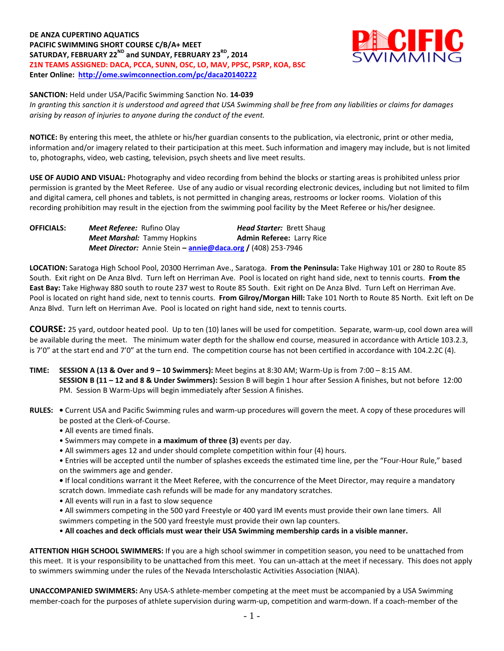# **DE ANZA CUPERTINO AQUATICS PACIFIC SWIMMING SHORT COURSE C/B/A+ MEET** SATURDAY, FEBRUARY 22<sup>ND</sup> and SUNDAY, FEBRUARY 23<sup>RD</sup>, 2014 **Z1N TEAMS ASSIGNED: DACA, PCCA, SUNN, OSC, LO, MAV, PPSC, PSRP, KOA, BSC Enter Online: <http://ome.swimconnection.com/pc/daca20140222>**



#### **SANCTION:** Held under USA/Pacific Swimming Sanction No. **14-039**

*In granting this sanction it is understood and agreed that USA Swimming shall be free from any liabilities or claims for damages arising by reason of injuries to anyone during the conduct of the event.*

**NOTICE:** By entering this meet, the athlete or his/her guardian consents to the publication, via electronic, print or other media, information and/or imagery related to their participation at this meet. Such information and imagery may include, but is not limited to, photographs, video, web casting, television, psych sheets and live meet results.

**USE OF AUDIO AND VISUAL:** Photography and video recording from behind the blocks or starting areas is prohibited unless prior permission is granted by the Meet Referee. Use of any audio or visual recording electronic devices, including but not limited to film and digital camera, cell phones and tablets, is not permitted in changing areas, restrooms or locker rooms. Violation of this recording prohibition may result in the ejection from the swimming pool facility by the Meet Referee or his/her designee.

| <b>OFFICIALS:</b> | <b>Meet Referee:</b> Rufino Olay                                           | <b>Head Starter: Brett Shaug</b> |  |  |  |  |
|-------------------|----------------------------------------------------------------------------|----------------------------------|--|--|--|--|
|                   | <b>Meet Marshal: Tammy Hopkins</b>                                         | <b>Admin Referee: Larry Rice</b> |  |  |  |  |
|                   | <b>Meet Director:</b> Annie Stein – <b>annie@daca.org</b> / (408) 253-7946 |                                  |  |  |  |  |

**LOCATION:** Saratoga High School Pool, 20300 Herriman Ave., Saratoga. **From the Peninsula:** Take Highway 101 or 280 to Route 85 South. Exit right on De Anza Blvd. Turn left on Herriman Ave. Pool is located on right hand side, next to tennis courts. **From the East Bay:** Take Highway 880 south to route 237 west to Route 85 South. Exit right on De Anza Blvd. Turn Left on Herriman Ave. Pool is located on right hand side, next to tennis courts. **From Gilroy/Morgan Hill:** Take 101 North to Route 85 North. Exit left on De Anza Blvd. Turn left on Herriman Ave. Pool is located on right hand side, next to tennis courts.

**COURSE:** 25 yard, outdoor heated pool. Up to ten (10) lanes will be used for competition. Separate, warm-up, cool down area will be available during the meet. The minimum water depth for the shallow end course, measured in accordance with Article 103.2.3, is 7'0" at the start end and 7'0" at the turn end. The competition course has not been certified in accordance with 104.2.2C (4).

- **TIME: SESSION A (13 & Over and 9 – 10 Swimmers):** Meet begins at 8:30 AM; Warm-Up is from 7:00 8:15 AM. **SESSION B (11 – 12 and 8 & Under Swimmers):** Session B will begin 1 hour after Session A finishes, but not before 12:00 PM. Session B Warm-Ups will begin immediately after Session A finishes.
- **RULES:** Current USA and Pacific Swimming rules and warm-up procedures will govern the meet. A copy of these procedures will be posted at the Clerk-of-Course.
	- All events are timed finals.
	- Swimmers may compete in **a maximum of three (3)** events per day.
	- All swimmers ages 12 and under should complete competition within four (4) hours.

• Entries will be accepted until the number of splashes exceeds the estimated time line, per the "Four-Hour Rule," based on the swimmers age and gender.

**•** If local conditions warrant it the Meet Referee, with the concurrence of the Meet Director, may require a mandatory scratch down. Immediate cash refunds will be made for any mandatory scratches.

- All events will run in a fast to slow sequence
- All swimmers competing in the 500 yard Freestyle or 400 yard IM events must provide their own lane timers. All swimmers competing in the 500 yard freestyle must provide their own lap counters.

• **All coaches and deck officials must wear their USA Swimming membership cards in a visible manner.** 

**ATTENTION HIGH SCHOOL SWIMMERS:** If you are a high school swimmer in competition season, you need to be unattached from this meet. It is your responsibility to be unattached from this meet. You can un-attach at the meet if necessary. This does not apply to swimmers swimming under the rules of the Nevada Interscholastic Activities Association (NIAA).

**UNACCOMPANIED SWIMMERS:** Any USA-S athlete-member competing at the meet must be accompanied by a USA Swimming member-coach for the purposes of athlete supervision during warm-up, competition and warm-down. If a coach-member of the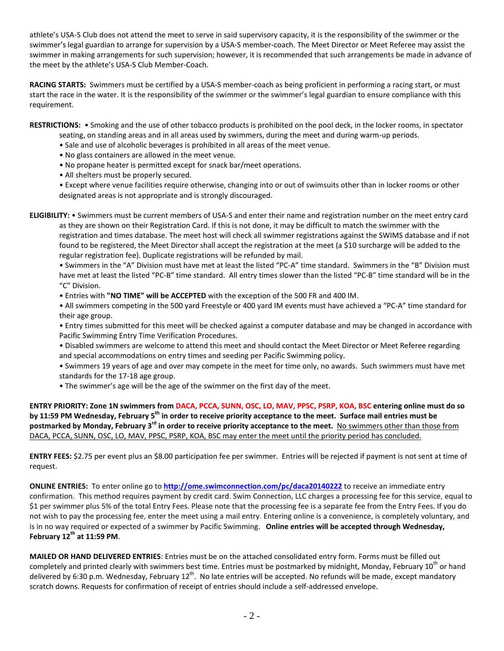athlete's USA-S Club does not attend the meet to serve in said supervisory capacity, it is the responsibility of the swimmer or the swimmer's legal guardian to arrange for supervision by a USA-S member-coach. The Meet Director or Meet Referee may assist the swimmer in making arrangements for such supervision; however, it is recommended that such arrangements be made in advance of the meet by the athlete's USA-S Club Member-Coach.

**RACING STARTS:** Swimmers must be certified by a USA-S member-coach as being proficient in performing a racing start, or must start the race in the water. It is the responsibility of the swimmer or the swimmer's legal guardian to ensure compliance with this requirement.

**RESTRICTIONS:** • Smoking and the use of other tobacco products is prohibited on the pool deck, in the locker rooms, in spectator

- seating, on standing areas and in all areas used by swimmers, during the meet and during warm-up periods.
- Sale and use of alcoholic beverages is prohibited in all areas of the meet venue.
- No glass containers are allowed in the meet venue.
- No propane heater is permitted except for snack bar/meet operations.
- All shelters must be properly secured.

• Except where venue facilities require otherwise, changing into or out of swimsuits other than in locker rooms or other designated areas is not appropriate and is strongly discouraged.

**ELIGIBILITY:** • Swimmers must be current members of USA-S and enter their name and registration number on the meet entry card as they are shown on their Registration Card. If this is not done, it may be difficult to match the swimmer with the registration and times database. The meet host will check all swimmer registrations against the SWIMS database and if not found to be registered, the Meet Director shall accept the registration at the meet (a \$10 surcharge will be added to the regular registration fee). Duplicate registrations will be refunded by mail.

• Swimmers in the "A" Division must have met at least the listed "PC-A" time standard. Swimmers in the "B" Division must have met at least the listed "PC-B" time standard. All entry times slower than the listed "PC-B" time standard will be in the "C" Division.

• Entries with **"NO TIME" will be ACCEPTED** with the exception of the 500 FR and 400 IM.

• All swimmers competing in the 500 yard Freestyle or 400 yard IM events must have achieved a "PC-A" time standard for their age group.

• Entry times submitted for this meet will be checked against a computer database and may be changed in accordance with Pacific Swimming Entry Time Verification Procedures.

• Disabled swimmers are welcome to attend this meet and should contact the Meet Director or Meet Referee regarding and special accommodations on entry times and seeding per Pacific Swimming policy.

• Swimmers 19 years of age and over may compete in the meet for time only, no awards. Such swimmers must have met standards for the 17-18 age group.

• The swimmer's age will be the age of the swimmer on the first day of the meet.

**ENTRY PRIORITY: Zone 1N swimmers from DACA, PCCA, SUNN, OSC, LO, MAV, PPSC, PSRP, KOA, BSC entering online must do so by 11:59 PM Wednesday, February 5th in order to receive priority acceptance to the meet. Surface mail entries must be postmarked by Monday, February 3rd in order to receive priority acceptance to the meet.** No swimmers other than those from DACA, PCCA, SUNN, OSC, LO, MAV, PPSC, PSRP, KOA, BSC may enter the meet until the priority period has concluded.

**ENTRY FEES:** \$2.75 per event plus an \$8.00 participation fee per swimmer. Entries will be rejected if payment is not sent at time of request.

**ONLINE ENTRIES:** To enter online go to **<http://ome.swimconnection.com/pc/daca20140222>** to receive an immediate entry confirmation. This method requires payment by credit card. Swim Connection, LLC charges a processing fee for this service, equal to \$1 per swimmer plus 5% of the total Entry Fees. Please note that the processing fee is a separate fee from the Entry Fees. If you do not wish to pay the processing fee, enter the meet using a mail entry. Entering online is a convenience, is completely voluntary, and is in no way required or expected of a swimmer by Pacific Swimming. **Online entries will be accepted through Wednesday, February 12th at 11:59 PM**.

**MAILED OR HAND DELIVERED ENTRIES**: Entries must be on the attached consolidated entry form. Forms must be filled out completely and printed clearly with swimmers best time. Entries must be postmarked by midnight, Monday, February  $10^{th}$  or hand delivered by 6:30 p.m. Wednesday, February  $12^{th}$ . No late entries will be accepted. No refunds will be made, except mandatory scratch downs. Requests for confirmation of receipt of entries should include a self-addressed envelope.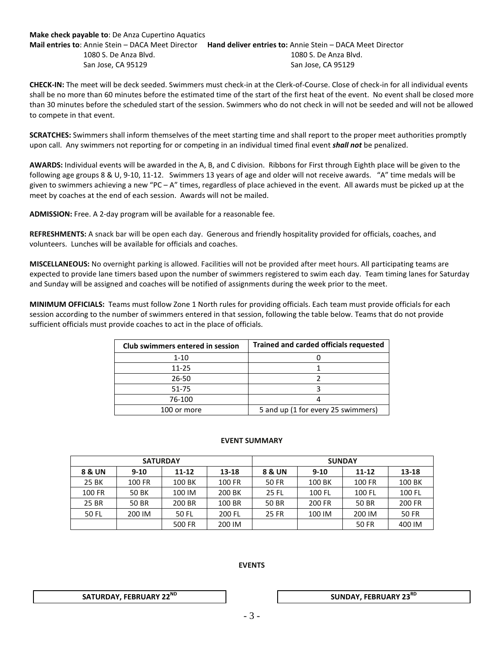## **Make check payable to**: De Anza Cupertino Aquatics **Mail entries to**: Annie Stein – DACA Meet Director **Hand deliver entries to:** Annie Stein – DACA Meet Director 1080 S. De Anza Blvd. 1080 S. De Anza Blvd. San Jose, CA 95129 San Jose, CA 95129

**CHECK-IN:** The meet will be deck seeded. Swimmers must check-in at the Clerk-of-Course. Close of check-in for all individual events shall be no more than 60 minutes before the estimated time of the start of the first heat of the event. No event shall be closed more than 30 minutes before the scheduled start of the session. Swimmers who do not check in will not be seeded and will not be allowed to compete in that event.

**SCRATCHES:** Swimmers shall inform themselves of the meet starting time and shall report to the proper meet authorities promptly upon call. Any swimmers not reporting for or competing in an individual timed final event *shall not* be penalized.

**AWARDS:** Individual events will be awarded in the A, B, and C division. Ribbons for First through Eighth place will be given to the following age groups 8 & U, 9-10, 11-12. Swimmers 13 years of age and older will not receive awards. "A" time medals will be given to swimmers achieving a new "PC  $-A$ " times, regardless of place achieved in the event. All awards must be picked up at the meet by coaches at the end of each session. Awards will not be mailed.

**ADMISSION:** Free. A 2-day program will be available for a reasonable fee.

**REFRESHMENTS:** A snack bar will be open each day. Generous and friendly hospitality provided for officials, coaches, and volunteers. Lunches will be available for officials and coaches.

**MISCELLANEOUS:** No overnight parking is allowed. Facilities will not be provided after meet hours. All participating teams are expected to provide lane timers based upon the number of swimmers registered to swim each day. Team timing lanes for Saturday and Sunday will be assigned and coaches will be notified of assignments during the week prior to the meet.

**MINIMUM OFFICIALS:** Teams must follow Zone 1 North rules for providing officials. Each team must provide officials for each session according to the number of swimmers entered in that session, following the table below. Teams that do not provide sufficient officials must provide coaches to act in the place of officials.

| Club swimmers entered in session | <b>Trained and carded officials requested</b> |  |  |  |  |
|----------------------------------|-----------------------------------------------|--|--|--|--|
| $1 - 10$                         |                                               |  |  |  |  |
| 11-25                            |                                               |  |  |  |  |
| 26-50                            |                                               |  |  |  |  |
| 51-75                            |                                               |  |  |  |  |
| 76-100                           |                                               |  |  |  |  |
| 100 or more                      | 5 and up (1 for every 25 swimmers)            |  |  |  |  |

#### **EVENT SUMMARY**

| <b>SATURDAY</b> |                     |        |        | <b>SUNDAY</b> |          |        |              |  |
|-----------------|---------------------|--------|--------|---------------|----------|--------|--------------|--|
| 8 & UN          | $9-10$<br>$11 - 12$ |        | 13-18  | 8 & UN        | $9 - 10$ | 11-12  | 13-18        |  |
| 25 BK           | 100 FR              | 100 BK | 100 FR | 50 FR         | 100 BK   | 100 FR | 100 BK       |  |
| 100 FR          | 50 BK               | 100 IM | 200 BK | 25 FL         | 100 FL   | 100 FL | 100 FL       |  |
| 25 BR           | 50 BR               | 200 BR | 100 BR | 50 BR         | 200 FR   | 50 BR  | 200 FR       |  |
| 50 FL           | 200 IM              | 50 FL  | 200 FL |               | 100 IM   | 200 IM | <b>50 FR</b> |  |
|                 |                     | 500 FR | 200 IM |               |          | 50 FR  | 400 IM       |  |

## **EVENTS**

**SATURDAY, FEBRUARY 22<sup>ND</sup> The SUNDAY, FEBRUARY 23<sup>RD</sup>**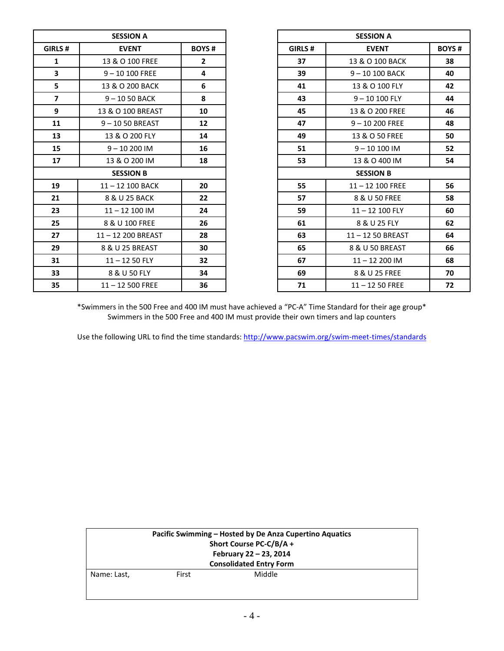| <b>SESSION A</b> |                    |                |        | <b>SESSION A</b>   |              |
|------------------|--------------------|----------------|--------|--------------------|--------------|
| GIRLS #          | <b>EVENT</b>       | <b>BOYS#</b>   | GIRLS# | <b>EVENT</b>       | <b>BOYS#</b> |
| $\mathbf{1}$     | 13 & O 100 FREE    | $\overline{2}$ | 37     | 13 & O 100 BACK    | 38           |
| 3                | $9 - 10100$ FREE   | 4              | 39     | $9 - 10100$ BACK   | 40           |
| 5                | 13 & O 200 BACK    | 6              | 41     | 13 & O 100 FLY     | 42           |
| $\overline{7}$   | $9 - 1050$ BACK    | 8              | 43     | $9 - 10100$ FLY    | 44           |
| 9                | 13 & O 100 BREAST  | 10             | 45     | 13 & O 200 FREE    | 46           |
| 11               | $9 - 1050$ BREAST  | 12             | 47     | $9 - 10200$ FREE   | 48           |
| 13               | 13 & O 200 FLY     | 14             | 49     | 13 & O 50 FREE     | 50           |
| 15               | $9 - 10200$ IM     | 16             | 51     | $9 - 10100$ IM     | 52           |
| 17               | 13 & O 200 IM      | 18             | 53     | 13 & O 400 IM      | 54           |
| <b>SESSION B</b> |                    |                |        | <b>SESSION B</b>   |              |
| 19               | $11 - 12$ 100 BACK | 20             | 55     | $11 - 12$ 100 FREE | 56           |
| 21               | 8 & U 25 BACK      | 22             | 57     | 8 & U 50 FREE      | 58           |
| 23               | $11 - 12100$ IM    | 24             | 59     | $11 - 12$ 100 FLY  | 60           |
| 25               | 8 & U 100 FREE     | 26             | 61     | 8 & U 25 FLY       | 62           |
| 27               | 11-12 200 BREAST   | 28             | 63     | 11-12 50 BREAST    | 64           |
| 29               | 8 & U 25 BREAST    | 30             | 65     | 8 & U 50 BREAST    | 66           |
| 31               | $11 - 1250$ FLY    | 32             | 67     | $11 - 12200$ IM    | 68           |
| 33               | 8 & U 50 FLY       | 34             | 69     | 8 & U 25 FREE      | 70           |
| 35               | $11 - 12500$ FREE  | 36             | 71     | $11 - 1250$ FREE   | 72           |

| <b>SESSION A</b> |                   |              |  |  |  |  |  |
|------------------|-------------------|--------------|--|--|--|--|--|
| GIRLS#           | <b>EVENT</b>      | <b>BOYS#</b> |  |  |  |  |  |
| 1                | 13 & O 100 FREE   | 2            |  |  |  |  |  |
| 3                | $9 - 10100$ FREE  | 4            |  |  |  |  |  |
| 5                | 13 & O 200 BACK   | 6            |  |  |  |  |  |
| 7                | $9 - 1050$ BACK   | 8            |  |  |  |  |  |
| 9                | 13 & O 100 BREAST | 10           |  |  |  |  |  |
| 11               | 9-1050 BREAST     | 12           |  |  |  |  |  |
| 13               | 13 & O 200 FLY    | 14           |  |  |  |  |  |
| 15               | $9 - 10200$ IM    | 16           |  |  |  |  |  |
| 17               | 13 & O 200 IM     | 18           |  |  |  |  |  |
|                  | <b>SESSION B</b>  |              |  |  |  |  |  |
| 19               | 11-12 100 BACK    | 20           |  |  |  |  |  |
| 21               | 8 & U 25 BACK     | 22           |  |  |  |  |  |
| 23               | $11 - 12$ 100 IM  | 24           |  |  |  |  |  |
| 25               | 8 & U 100 FREE    | 26           |  |  |  |  |  |
| 27               | 11-12 200 BREAST  | 28           |  |  |  |  |  |
| 29               | 8 & U 25 BREAST   | 30           |  |  |  |  |  |
| 31               | $11 - 1250$ FLY   | 32           |  |  |  |  |  |
| 33               | 8 & U 50 FLY      | 34           |  |  |  |  |  |
| 35               | $11 - 12500$ FREE | 36           |  |  |  |  |  |

\*Swimmers in the 500 Free and 400 IM must have achieved a "PC-A" Time Standard for their age group\* Swimmers in the 500 Free and 400 IM must provide their own timers and lap counters

Use the following URL to find the time standards:<http://www.pacswim.org/swim-meet-times/standards>

| Pacific Swimming – Hosted by De Anza Cupertino Aquatics<br>Short Course PC-C/B/A + |       |        |  |  |  |  |  |
|------------------------------------------------------------------------------------|-------|--------|--|--|--|--|--|
| February 22 - 23, 2014<br><b>Consolidated Entry Form</b>                           |       |        |  |  |  |  |  |
| Name: Last,                                                                        | First | Middle |  |  |  |  |  |
|                                                                                    |       |        |  |  |  |  |  |